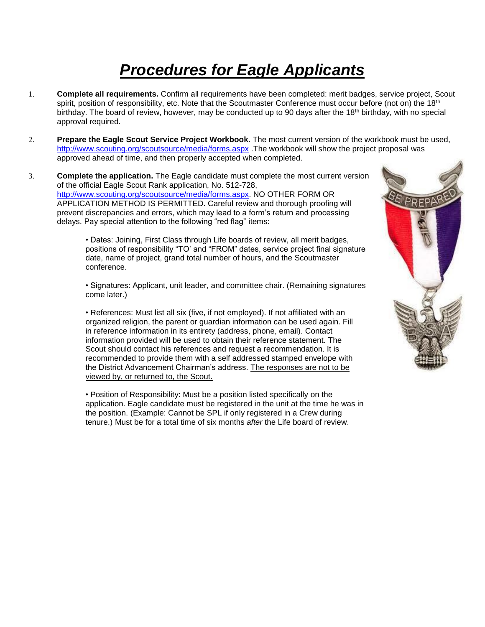## *Procedures for Eagle Applicants*

- 1. **Complete all requirements.** Confirm all requirements have been completed: merit badges, service project, Scout spirit, position of responsibility, etc. Note that the Scoutmaster Conference must occur before (not on) the 18<sup>th</sup> birthday. The board of review, however, may be conducted up to 90 days after the 18<sup>th</sup> birthday, with no special approval required.
- 2. **Prepare the Eagle Scout Service Project Workbook.** The most current version of the workbook must be used, <http://www.scouting.org/scoutsource/media/forms.aspx> .The workbook will show the project proposal was approved ahead of time, and then properly accepted when completed.
- 3. **Complete the application.** The Eagle candidate must complete the most current version of the official Eagle Scout Rank application, No. 512-728, [http://www.scouting.org/scoutsource/media/forms.aspx.](http://www.scouting.org/scoutsource/media/forms.aspx) NO OTHER FORM OR APPLICATION METHOD IS PERMITTED. Careful review and thorough proofing will prevent discrepancies and errors, which may lead to a form's return and processing delays. Pay special attention to the following "red flag" items:

• Dates: Joining, First Class through Life boards of review, all merit badges, positions of responsibility "TO' and "FROM" dates, service project final signature date, name of project, grand total number of hours, and the Scoutmaster conference.

• Signatures: Applicant, unit leader, and committee chair. (Remaining signatures come later.)

• References: Must list all six (five, if not employed). If not affiliated with an organized religion, the parent or guardian information can be used again. Fill in reference information in its entirety (address, phone, email). Contact information provided will be used to obtain their reference statement. The Scout should contact his references and request a recommendation. It is recommended to provide them with a self addressed stamped envelope with the District Advancement Chairman's address. The responses are not to be viewed by, or returned to, the Scout.

• Position of Responsibility: Must be a position listed specifically on the application. Eagle candidate must be registered in the unit at the time he was in the position. (Example: Cannot be SPL if only registered in a Crew during tenure.) Must be for a total time of six months *after* the Life board of review.